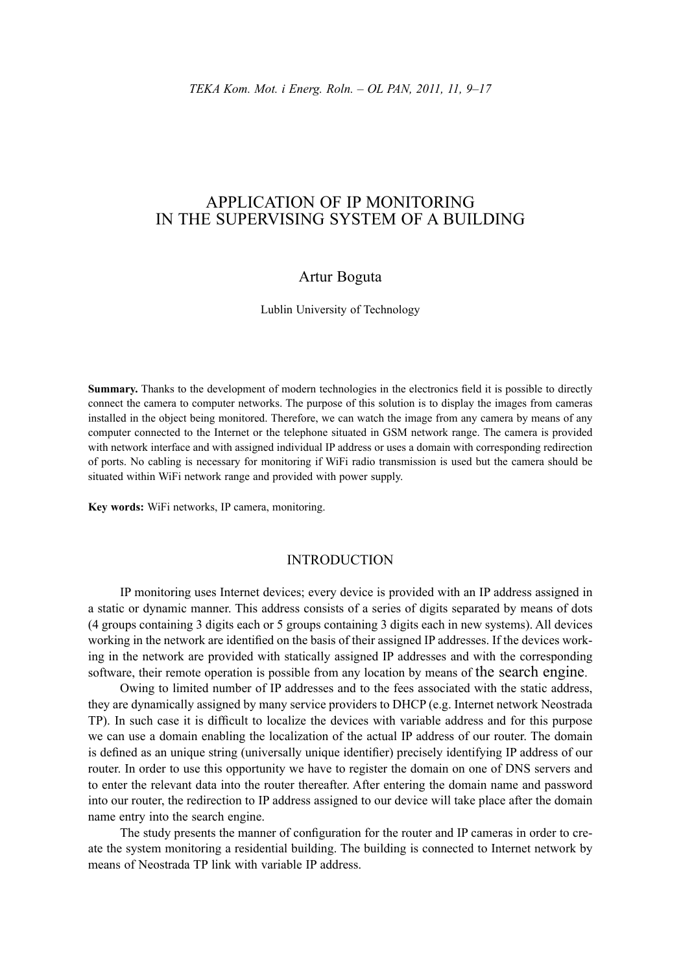# APPLICATION OF IP MONITORING IN THE SUPERVISING SYSTEM OF A BUILDING

## Artur Boguta

Lublin University of Technology

**Summary.** Thanks to the development of modern technologies in the electronics field it is possible to directly connect the camera to computer networks. The purpose of this solution is to display the images from cameras installed in the object being monitored. Therefore, we can watch the image from any camera by means of any computer connected to the Internet or the telephone situated in GSM network range. The camera is provided with network interface and with assigned individual IP address or uses a domain with corresponding redirection of ports. No cabling is necessary for monitoring if WiFi radio transmission is used but the camera should be situated within WiFi network range and provided with power supply.

**Key words:** WiFi networks, IP camera, monitoring.

### INTRODUCTION

IP monitoring uses Internet devices; every device is provided with an IP address assigned in a static or dynamic manner. This address consists of a series of digits separated by means of dots (4 groups containing 3 digits each or 5 groups containing 3 digits each in new systems). All devices working in the network are identified on the basis of their assigned IP addresses. If the devices working in the network are provided with statically assigned IP addresses and with the corresponding software, their remote operation is possible from any location by means of the search engine.

Owing to limited number of IP addresses and to the fees associated with the static address, they are dynamically assigned by many service providers to DHCP (e.g. Internet network Neostrada TP). In such case it is difficult to localize the devices with variable address and for this purpose we can use a domain enabling the localization of the actual IP address of our router. The domain is defined as an unique string (universally unique identifier) precisely identifying IP address of our router. In order to use this opportunity we have to register the domain on one of DNS servers and to enter the relevant data into the router thereafter. After entering the domain name and password into our router, the redirection to IP address assigned to our device will take place after the domain name entry into the search engine.

The study presents the manner of configuration for the router and IP cameras in order to create the system monitoring a residential building. The building is connected to Internet network by means of Neostrada TP link with variable IP address.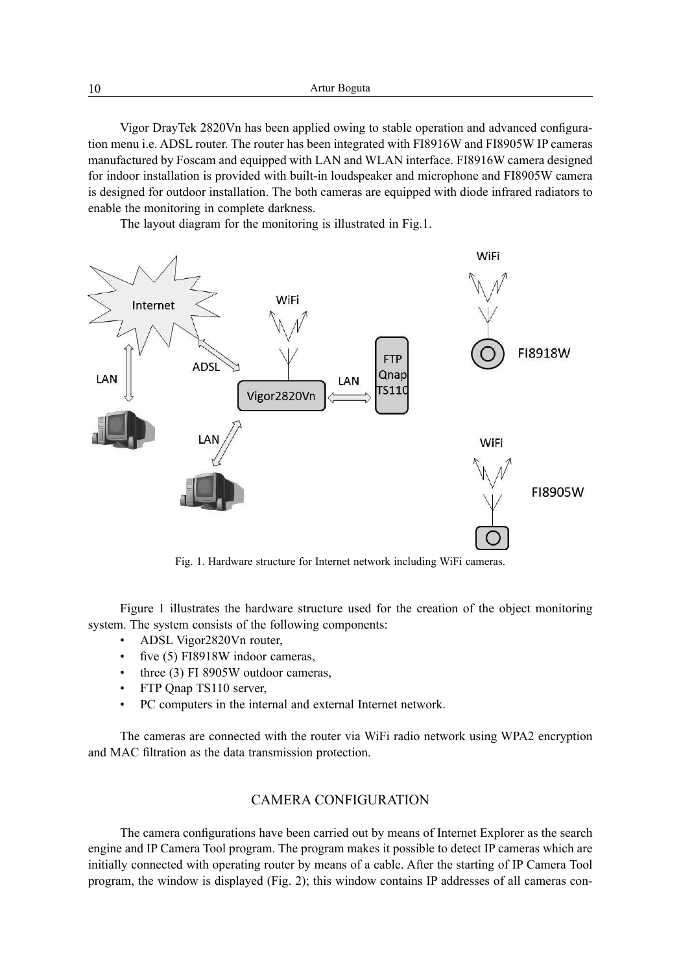10 Artur Boguta

Vigor DrayTek 2820Vn has been applied owing to stable operation and advanced configuration menu i.e. ADSL router. The router has been integrated with FI8916W and FI8905W IP cameras manufactured by Foscam and equipped with LAN and WLAN interface. FI8916W camera designed for indoor installation is provided with built-in loudspeaker and microphone and FI8905W camera is designed for outdoor installation. The both cameras are equipped with diode infrared radiators to enable the monitoring in complete darkness.

The layout diagram for the monitoring is illustrated in Fig.1.



Fig. 1. Hardware structure for Internet network including WiFi cameras.

Figure 1 illustrates the hardware structure used for the creation of the object monitoring system. The system consists of the following components:

- ADSL Vigor2820Vn router,
- five (5) FI8918W indoor cameras,
- three (3) FI 8905W outdoor cameras,
- FTP Qnap TS110 server,
- PC computers in the internal and external Internet network.

The cameras are connected with the router via WiFi radio network using WPA2 encryption and MAC filtration as the data transmission protection.

### CAMERA CONFIGURATION

The camera configurations have been carried out by means of Internet Explorer as the search engine and IP Camera Tool program. The program makes it possible to detect IP cameras which are initially connected with operating router by means of a cable. After the starting of IP Camera Tool program, the window is displayed (Fig. 2); this window contains IP addresses of all cameras con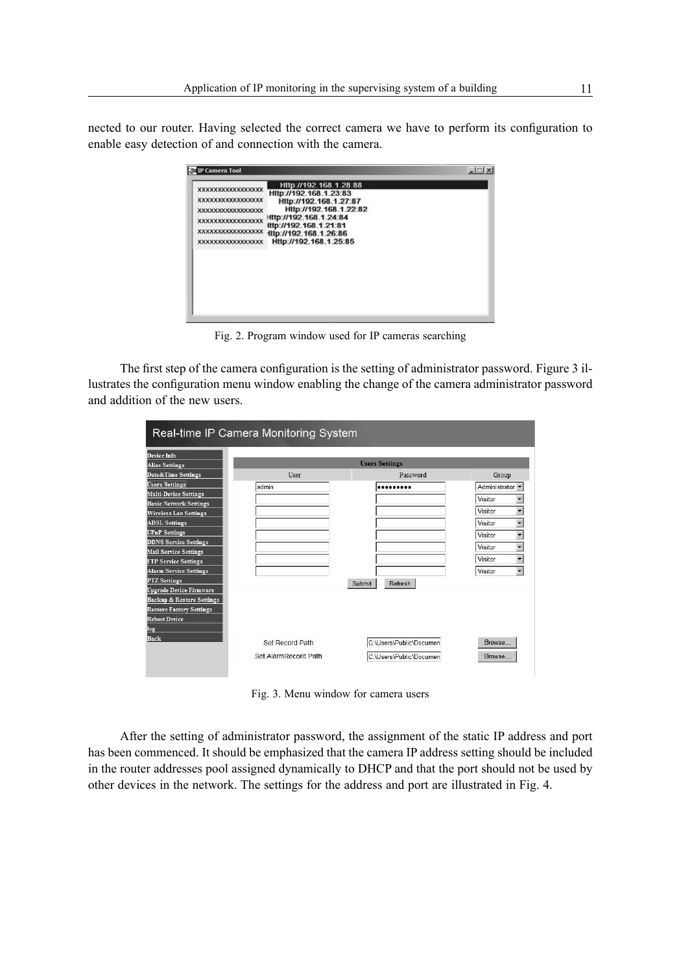nected to our router. Having selected the correct camera we have to perform its configuration to enable easy detection of and connection with the camera.

| P Camera Tool                                                                                                                                                |                                                                                                                                                                                                             | $   \square   \times  $ |
|--------------------------------------------------------------------------------------------------------------------------------------------------------------|-------------------------------------------------------------------------------------------------------------------------------------------------------------------------------------------------------------|-------------------------|
| <b>XXXXXXXXXXXXXXXXXXX</b><br><b>XXXXXXXXXXXXXXXXXX</b><br>XXXXXXXXXXXXXXXXX<br><b>XXXXXXXXXXXXXXXXXX</b><br>XXXXXXXXXXXXXXXXX<br><b>XXXXXXXXXXXXXXXXXXX</b> | Http://192.168.1.28.88<br>Http://192.168.1.23.83<br>Http://192.168.1.27:87<br>Http://192.168.1.22:82<br>Http://192.168.1.24:84<br>ittp://192.168.1.21:81<br>ttp://192.168.1.26:86<br>Http://192.168.1.25:85 |                         |

Fig. 2. Program window used for IP cameras searching

The first step of the camera configuration is the setting of administrator password. Figure 3 illustrates the configuration menu window enabling the change of the camera administrator password and addition of the new users.

| Device Info                                                             |                      |                         |                                     |
|-------------------------------------------------------------------------|----------------------|-------------------------|-------------------------------------|
| <b>Alias Settings</b>                                                   |                      | <b>Users Settings</b>   |                                     |
| Date&Time Settings                                                      | User                 | Password                | Group                               |
| <b>Users Settings</b>                                                   | admin                |                         | Administrator -                     |
| <b>Multi-Device Settings</b>                                            |                      |                         | Visitor                             |
| <b>Basic Network Settings</b>                                           |                      |                         |                                     |
| <b>Wireless Lan Settings</b>                                            |                      |                         | Visitor<br>$\blacktriangledown$     |
| <b>ADSL Settings</b>                                                    |                      |                         | Visitor<br>$\overline{\phantom{0}}$ |
| <b>UPnP</b> Settings                                                    |                      |                         | Visitor<br>$\overline{\phantom{0}}$ |
| <b>DDNS Service Settings</b>                                            |                      |                         | Visitor<br>$\overline{\phantom{a}}$ |
| <b>Mail Service Settings</b>                                            |                      |                         | $\overline{\phantom{0}}$<br>Visitor |
| <b>FTP Service Settings</b>                                             |                      |                         |                                     |
| Alarm Service Settings                                                  |                      |                         | $\overline{\phantom{a}}$<br>Visitor |
| <b>PTZ</b> Settings                                                     |                      | Refresh<br>Submit       |                                     |
| <b>Upgrade Device Firmware</b>                                          |                      |                         |                                     |
| <b>Backup &amp; Restore Settings</b><br><b>Restore Factory Settings</b> |                      |                         |                                     |
| <b>Reboot Device</b>                                                    |                      |                         |                                     |
| log                                                                     |                      |                         |                                     |
| Back                                                                    |                      |                         |                                     |
|                                                                         | Set Record Path      | C:\Users\Public\Documen | Browse                              |
|                                                                         | Set AlarmRecord Path | C:\Users\Public\Documen | <b>Browse</b>                       |

Fig. 3. Menu window for camera users

After the setting of administrator password, the assignment of the static IP address and port has been commenced. It should be emphasized that the camera IP address setting should be included in the router addresses pool assigned dynamically to DHCP and that the port should not be used by other devices in the network. The settings for the address and port are illustrated in Fig. 4.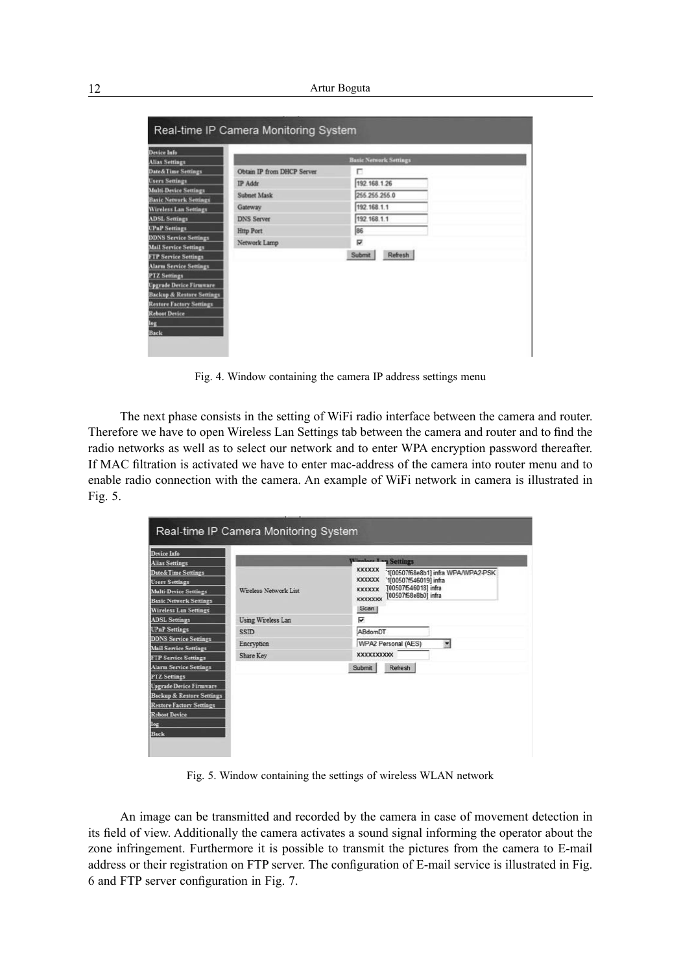| <b>Device Info</b>                   |                            |                               |
|--------------------------------------|----------------------------|-------------------------------|
| <b>Alias Settings</b>                |                            | <b>Basic Network Settings</b> |
| Date&Time Settings                   | Obtain IP from DHCP Server | п                             |
| <b>Users Settings</b>                | <b>IP Addr</b>             | 192.168.1.26                  |
| <b>Multi-Device Settings</b>         | <b>Subnet Mask</b>         | 255 255 255.0                 |
| <b>Basic Network Settings</b>        | Gateway                    | 192.168.1.1                   |
| <b>Wireless Lan Settings</b>         |                            |                               |
| <b>ADSL Settings</b>                 | <b>DNS Server</b>          | 192.168.1.1                   |
| <b>UPnP</b> Settings                 | <b>Http Port</b>           | 86                            |
| <b>DDNS Service Settings</b>         | Network Lamp               | ₽                             |
| <b>Mail Service Settings</b>         |                            |                               |
| <b>FTP Service Settings</b>          |                            | Submit<br>Refresh             |
| <b>Alarm Service Settings</b>        |                            |                               |
| <b>PTZ</b> Settings                  |                            |                               |
| <b>Upgrade Device Firmware</b>       |                            |                               |
| <b>Backup &amp; Restore Settings</b> |                            |                               |
| <b>Restore Factory Settings</b>      |                            |                               |
| <b>Reboot Device</b>                 |                            |                               |
|                                      |                            |                               |

Fig. 4. Window containing the camera IP address settings menu

The next phase consists in the setting of WiFi radio interface between the camera and router. Therefore we have to open Wireless Lan Settings tab between the camera and router and to find the radio networks as well as to select our network and to enter WPA encryption password thereafter. If MAC fi ltration is activated we have to enter mac-address of the camera into router menu and to enable radio connection with the camera. An example of WiFi network in camera is illustrated in Fig. 5.

| Device Info                          |                       |                                                                                   |
|--------------------------------------|-----------------------|-----------------------------------------------------------------------------------|
| <b>Alias Settings</b>                |                       | Windows I on Settings                                                             |
| Date&Time Settings                   |                       | <b>XXXXXX</b><br>1[00507f68e8b1] infra WPA/WPA2-PSK                               |
| <b>Users Settings</b>                |                       | <b>XXXXXXX</b><br>'1[00507f546019] infra<br>T00507f546018] infra<br><b>XXXXXX</b> |
| <b>Multi-Device Settings</b>         | Wireless Network List | [00507f68e8b0] infra<br><b>XXXXXXX</b>                                            |
| <b>Basic Network Settings</b>        |                       |                                                                                   |
| <b>Wireless Lan Settings</b>         |                       | Scan                                                                              |
| <b>ADSL Settings</b>                 | Using Wireless Lan    | ⊽                                                                                 |
| <b>UPnP</b> Settings                 | <b>SSID</b>           | ABdomDT                                                                           |
| <b>DDNS Service Settings</b>         | Encryption            | WPA2 Personal (AES)<br>$\overline{\phantom{a}}$                                   |
| <b>Mail Service Settings</b>         |                       | <b>XXXXXXXXXXX</b>                                                                |
| <b>FTP Service Settings</b>          | Share Key             |                                                                                   |
| <b>Alarm Service Settings</b>        |                       | Refresh<br>Submit                                                                 |
| <b>PTZ</b> Settings                  |                       |                                                                                   |
| <b>Upgrade Device Firmware</b>       |                       |                                                                                   |
| <b>Backup &amp; Restore Settings</b> |                       |                                                                                   |
| <b>Restore Factory Settings</b>      |                       |                                                                                   |
| <b>Reboot Device</b>                 |                       |                                                                                   |
| log                                  |                       |                                                                                   |
| Back                                 |                       |                                                                                   |

Fig. 5. Window containing the settings of wireless WLAN network

An image can be transmitted and recorded by the camera in case of movement detection in its field of view. Additionally the camera activates a sound signal informing the operator about the zone infringement. Furthermore it is possible to transmit the pictures from the camera to E-mail address or their registration on FTP server. The configuration of E-mail service is illustrated in Fig. 6 and FTP server configuration in Fig. 7.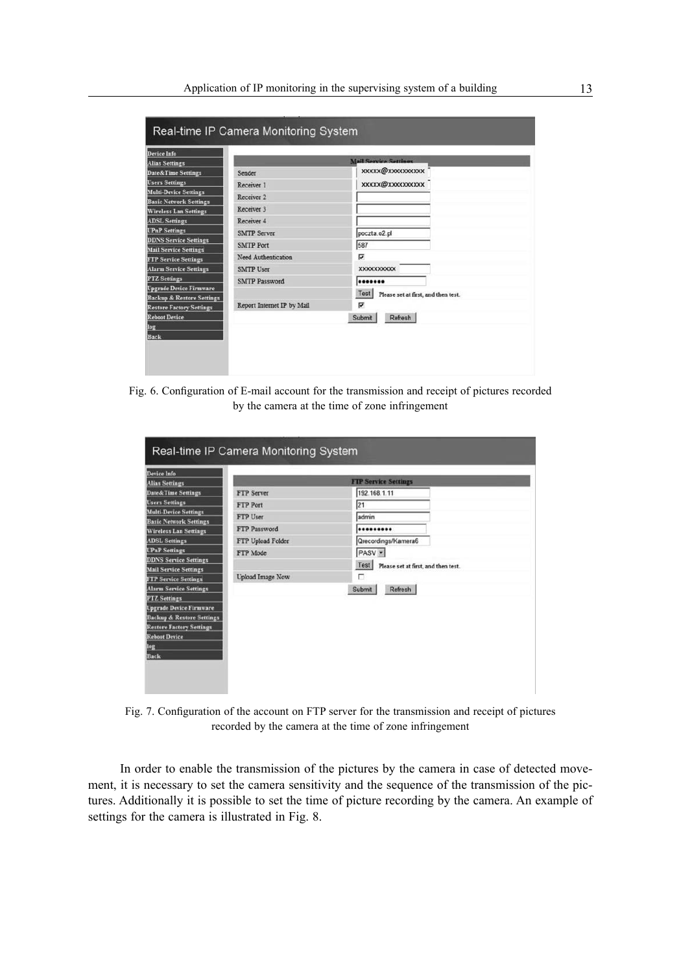| Device Info                                          |                            |                                             |
|------------------------------------------------------|----------------------------|---------------------------------------------|
| <b>Alias Settings</b>                                |                            | <b>Mail Service Settings</b>                |
| Date&Time Settings                                   | Sender                     | <b>XXXXX@XXXXXXXXXX</b>                     |
| <b>Users Settings</b>                                | Receiver 1                 | xxxxx@xxxxxxxxxx                            |
| <b>Multi-Device Settings</b>                         | Receiver <sub>2</sub>      |                                             |
| <b>Basic Network Settings</b>                        | Receiver 3                 |                                             |
| <b>Wireless Lan Settings</b>                         |                            |                                             |
| <b>ADSL Settings</b>                                 | Receiver 4                 |                                             |
| <b>UPnP</b> Settings<br><b>DDNS Service Settings</b> | <b>SMTP Server</b>         | poczta.o2.pl                                |
| <b>Mail Service Settings</b>                         | <b>SMTP Port</b>           | 587                                         |
| <b>FTP Service Settings</b>                          | Need Authentication        | ⊽                                           |
| <b>Alarm Service Settings</b>                        | <b>SMTP User</b>           | <b>XXXXXXXXXXX</b>                          |
| <b>PTZ</b> Settings                                  | <b>SMTP Password</b>       |                                             |
| <b>Upgrade Device Firmware</b>                       |                            |                                             |
| <b>Backup &amp; Restore Settings</b>                 |                            | Test<br>Please set at first, and then test. |
| <b>Restore Factory Settings</b>                      | Report Internet IP by Mail | ⊽                                           |
| <b>Reboot Device</b>                                 |                            | Submit<br>Refresh                           |
| log                                                  |                            |                                             |
| <b>Back</b>                                          |                            |                                             |

Fig. 6. Configuration of E-mail account for the transmission and receipt of pictures recorded by the camera at the time of zone infringement

| Device Info                          |                         |                                                    |
|--------------------------------------|-------------------------|----------------------------------------------------|
| <b>Alias Settings</b>                |                         | <b>FTP Service Settings</b>                        |
| <b>Date&amp;Time Settings</b>        | FTP Server              | 192.168.1.11                                       |
| <b>Users Settings</b>                | FTP Port                | 21                                                 |
| <b>Multi-Device Settings</b>         | FTP User                | admin                                              |
| <b>Basic Network Settings</b>        |                         |                                                    |
| <b>Wireless Lan Settings</b>         | FTP Password            |                                                    |
| <b>ADSL Settings</b>                 | FTP Upload Folder       | Qrecordings/Kamera6                                |
| <b>UPnP Settings</b>                 | FTP Mode                | PASV -                                             |
| <b>DDNS Service Settings</b>         |                         |                                                    |
| <b>Mail Service Settings</b>         |                         | <b>Test</b><br>Please set at first, and then test. |
| <b>FTP Service Settings</b>          | <b>Upload Image Now</b> | п                                                  |
| <b>Alarm Service Settings</b>        |                         | Submit<br>Refresh                                  |
| <b>PTZ</b> Settings                  |                         |                                                    |
| <b>Upgrade Device Firmware</b>       |                         |                                                    |
| <b>Backup &amp; Restore Settings</b> |                         |                                                    |
| <b>Restore Factory Settings</b>      |                         |                                                    |
| <b>Reboot Device</b>                 |                         |                                                    |
|                                      |                         |                                                    |
| Back                                 |                         |                                                    |

Fig. 7. Configuration of the account on FTP server for the transmission and receipt of pictures recorded by the camera at the time of zone infringement

In order to enable the transmission of the pictures by the camera in case of detected movement, it is necessary to set the camera sensitivity and the sequence of the transmission of the pictures. Additionally it is possible to set the time of picture recording by the camera. An example of settings for the camera is illustrated in Fig. 8.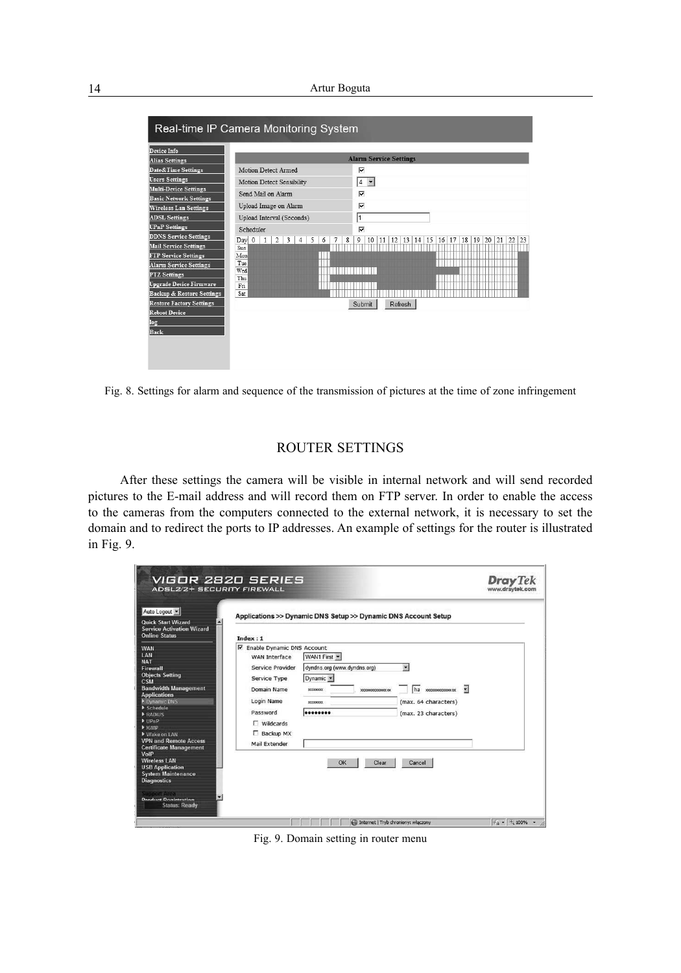14 Artur Boguta

| Device Info<br><b>Alias Settings</b> |                                                                                                     | <b>Alarm Service Settings</b>                                               |
|--------------------------------------|-----------------------------------------------------------------------------------------------------|-----------------------------------------------------------------------------|
| <b>Date&amp;Time Settings</b>        | Motion Detect Armed                                                                                 | ⊽                                                                           |
| <b>Users Settings</b>                | Motion Detect Sensibility                                                                           | $\overline{\phantom{a}}$<br>4                                               |
| <b>Multi-Device Settings</b>         |                                                                                                     |                                                                             |
| <b>Basic Network Settings</b>        | Send Mail on Alarm                                                                                  | ⊽                                                                           |
| <b>Wireless Lan Settings</b>         | Upload Image on Alarm                                                                               | ⊽                                                                           |
| <b>ADSL Settings</b>                 | Upload Interval (Seconds)                                                                           | 1                                                                           |
| <b>UPnP</b> Settings                 | Scheduler                                                                                           | ⊽                                                                           |
| <b>DDNS Service Settings</b>         | $\overline{2}$<br>Day 0<br>$\mathbf{1}$<br>$\overline{\mathbf{3}}$<br>5<br>7<br>$\overline{4}$<br>6 | 20 21<br>8<br>9<br>12<br>13 14 15<br>18 19<br>22<br>23<br>10<br>11<br>16 17 |
| <b>Mail Service Settings</b>         | Sun                                                                                                 |                                                                             |
| <b>FTP Service Settings</b>          | Mon                                                                                                 |                                                                             |
| <b>Alarm Service Settings</b>        | Tue<br>Wed                                                                                          |                                                                             |
| <b>PTZ Settings</b>                  | Thu                                                                                                 |                                                                             |
| <b>Upgrade Device Firmware</b>       | Fri                                                                                                 |                                                                             |
| <b>Backup &amp; Restore Settings</b> | Sat                                                                                                 |                                                                             |
| <b>Restore Factory Settings</b>      |                                                                                                     | Submit<br>Refresh                                                           |
| <b>Reboot Device</b>                 |                                                                                                     |                                                                             |
| log                                  |                                                                                                     |                                                                             |

Fig. 8. Settings for alarm and sequence of the transmission of pictures at the time of zone infringement

## ROUTER SETTINGS

After these settings the camera will be visible in internal network and will send recorded pictures to the E-mail address and will record them on FTP server. In order to enable the access to the cameras from the computers connected to the external network, it is necessary to set the domain and to redirect the ports to IP addresses. An example of settings for the router is illustrated in Fig. 9.

| Auto Logout                                                                                                                                                                                                                                                                                                                                                                                                                                                                 |                                                                                                                                                                                  |                                                                                                                                      |                                                                                                               |                |
|-----------------------------------------------------------------------------------------------------------------------------------------------------------------------------------------------------------------------------------------------------------------------------------------------------------------------------------------------------------------------------------------------------------------------------------------------------------------------------|----------------------------------------------------------------------------------------------------------------------------------------------------------------------------------|--------------------------------------------------------------------------------------------------------------------------------------|---------------------------------------------------------------------------------------------------------------|----------------|
| <b>Quick Start Wizard</b><br><b>Service Activation Wizard</b><br><b>Online Status</b>                                                                                                                                                                                                                                                                                                                                                                                       | Index:1                                                                                                                                                                          | Applications >> Dynamic DNS Setup >> Dynamic DNS Account Setup                                                                       |                                                                                                               |                |
| <b>WAN</b><br><b>LAN</b><br><b>NAT</b><br>Firewall<br><b>Objects Setting</b><br><b>CSM</b><br><b>Bandwidth Management</b><br><b>Applications</b><br>Dynamic DNS<br>$\blacktriangleright$ Schedule<br>P RADIUS<br>$\blacktriangleright$ [[ $PnP$ ]<br>$\blacktriangleright$ IGMP<br>Wake on LAN<br><b>VPN and Remote Access</b><br><b>Certificate Management</b><br>VolP<br><b>Wireless LAN</b><br><b>USB Application</b><br><b>System Maintenance</b><br><b>Diagnostics</b> | Ⅳ Enable Dynamic DNS Account<br>WAN Interface<br>Service Provider<br>Service Type<br>Domain Name<br>Login Name<br>Password<br>$\Gamma$ Wildcards<br>□ Backup MX<br>Mail Extender | WAN1 First -<br>dyndns.org (www.dyndns.org)<br>Dynamic <b>v</b><br><b>KOODOOX</b><br>000000000000000<br>XXXXXXXXX<br><br>OK<br>Clear | $\overline{\phantom{a}}$<br>Ξ<br>ha xxxxxxxxxxxxxxx<br>(max. 64 characters)<br>(max. 23 characters)<br>Cancel |                |
| <b>Support Area</b><br>۳<br><b>Droduct Dogistration</b><br><b>Status: Ready</b>                                                                                                                                                                                                                                                                                                                                                                                             |                                                                                                                                                                                  | Internet   Tryb chroniony: włączony                                                                                                  |                                                                                                               | $44 - 100\%$ . |

Fig. 9. Domain setting in router menu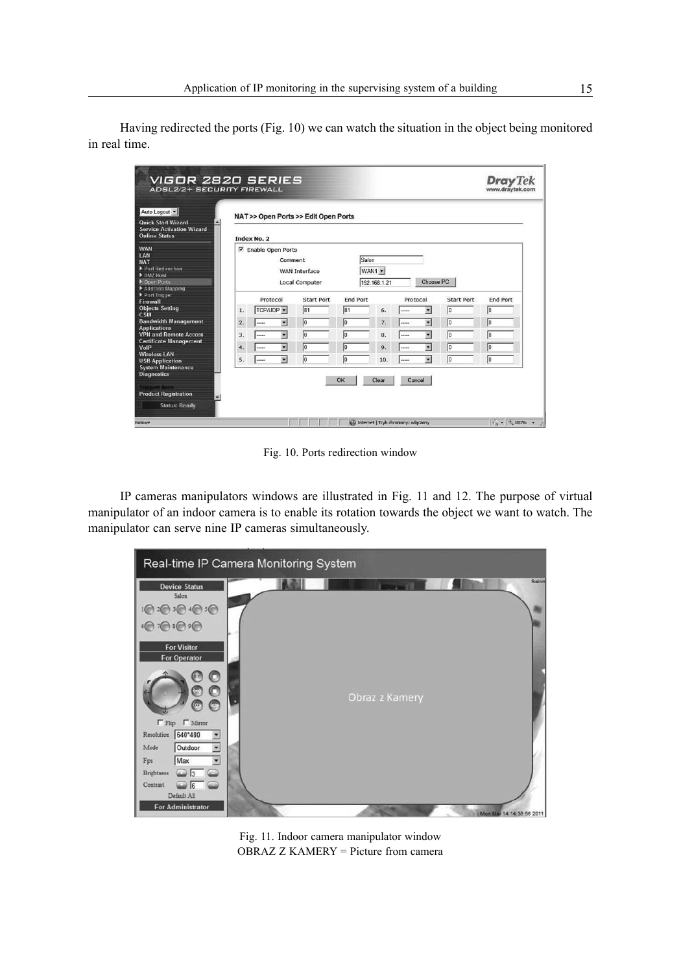Having redirected the ports (Fig. 10) we can watch the situation in the object being monitored in real time.

| Auto Logout<br><b>Quick Start Wizard</b>                                                               |    | NAT >> Open Ports >> Edit Open Ports |                                                   |    |                 |                        |        |                          |                   |          |
|--------------------------------------------------------------------------------------------------------|----|--------------------------------------|---------------------------------------------------|----|-----------------|------------------------|--------|--------------------------|-------------------|----------|
| <b>Service Activation Wizard</b><br><b>Online Status</b>                                               |    | Index No. 2                          |                                                   |    |                 |                        |        |                          |                   |          |
| <b>WAN</b><br><b>IAN</b><br><b>NAT</b><br>Port Redirection<br>DMZ Host<br>Den Ports<br>Address Mapping |    | <b>Ⅳ</b> Enable Open Ports           | Comment<br>WAN Interface<br><b>Local Computer</b> |    | Salon           | WAN1 -<br>192.168.1.21 |        | Choose PC                |                   |          |
| Port Trigger<br>Firewall                                                                               |    | Protocol<br>Start Port               |                                                   |    | <b>End Port</b> | Protocol               |        |                          | <b>Start Port</b> | End Port |
| <b>Objects Setting</b><br>CSM                                                                          | 1. | TCP/UDP -                            | 81                                                |    | 81              | 6.                     |        | $\overline{\phantom{a}}$ | Iо                | 10       |
| <b>Bandwidth Management</b>                                                                            | 2. | ----                                 | $\sqrt{0}$<br>▼                                   |    | $\sqrt{0}$      | 7.                     |        | $\overline{\phantom{a}}$ | Iо                | 10       |
| <b>Applications</b><br><b>VPN and Remote Access</b>                                                    | 3. |                                      | Ξ<br>lo                                           |    | 10              | 8.                     |        | $\overline{\phantom{0}}$ | 10                | 10       |
| <b>Certificate Management</b>                                                                          | 4. |                                      | $\overline{\mathbf{z}}$<br>Iо                     |    | 10              | 9.                     |        | $\overline{\phantom{0}}$ | Iо                | 10       |
| <b>Wireless LAN</b><br><b>USB Application</b><br><b>System Maintenance</b>                             | 5. |                                      | $\overline{\phantom{a}}$<br>Iо                    |    | 10              | 10.                    |        | $\overline{r}$           | Iо                | 10       |
| <b>Diagnostics</b><br><b>Support Area</b><br><b>Product Registration</b><br><b>Status: Ready</b>       |    |                                      |                                                   | OK |                 | Clear                  | Cancel |                          |                   |          |

Fig. 10. Ports redirection window

IP cameras manipulators windows are illustrated in Fig. 11 and 12. The purpose of virtual manipulator of an indoor camera is to enable its rotation towards the object we want to watch. The manipulator can serve nine IP cameras simultaneously.



Fig. 11. Indoor camera manipulator window OBRAZ Z KAMERY = Picture from camera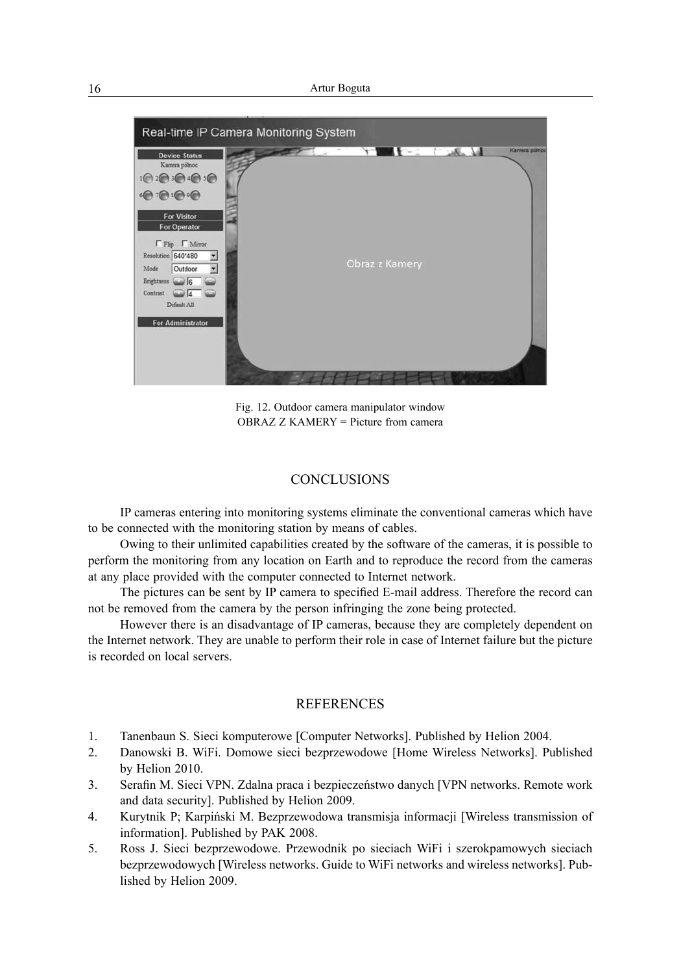

Fig. 12. Outdoor camera manipulator window OBRAZ Z KAMERY = Picture from camera

#### **CONCLUSIONS**

IP cameras entering into monitoring systems eliminate the conventional cameras which have to be connected with the monitoring station by means of cables.

Owing to their unlimited capabilities created by the software of the cameras, it is possible to perform the monitoring from any location on Earth and to reproduce the record from the cameras at any place provided with the computer connected to Internet network.

The pictures can be sent by IP camera to specified E-mail address. Therefore the record can not be removed from the camera by the person infringing the zone being protected.

However there is an disadvantage of IP cameras, because they are completely dependent on the Internet network. They are unable to perform their role in case of Internet failure but the picture is recorded on local servers.

### **REFERENCES**

- 1. Tanenbaun S. Sieci komputerowe [Computer Networks]. Published by Helion 2004.
- 2. Danowski B. WiFi. Domowe sieci bezprzewodowe [Home Wireless Networks]. Published by Helion 2010.
- 3. Serafin M. Sieci VPN. Zdalna praca i bezpieczeństwo danych [VPN networks. Remote work and data security]. Published by Helion 2009.
- 4. Kurytnik P; Karpiński M. Bezprzewodowa transmisja informacji [Wireless transmission of information]. Published by PAK 2008.
- 5. Ross J. Sieci bezprzewodowe. Przewodnik po sieciach WiFi i szerokpamowych sieciach bezprzewodowych [Wireless networks. Guide to WiFi networks and wireless networks]. Published by Helion 2009.